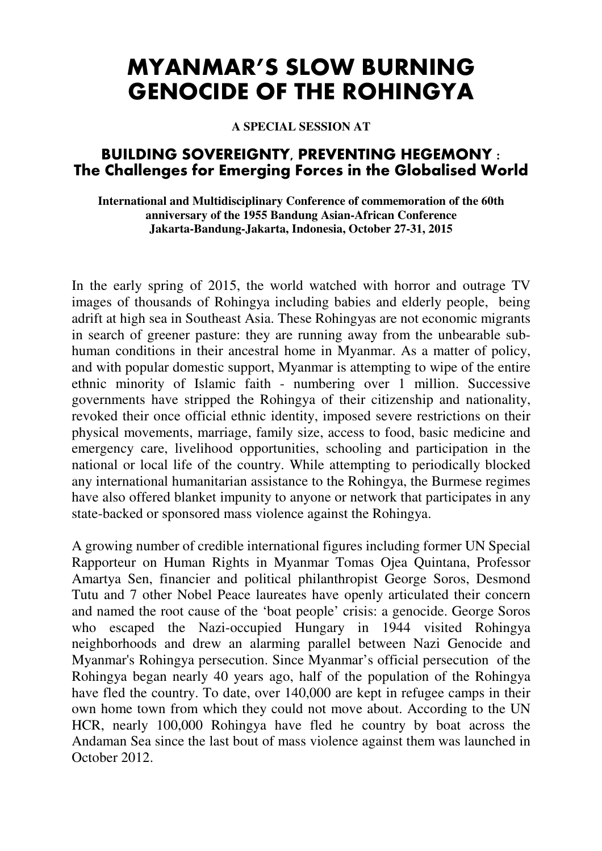# **MYANMAR'S SLOW BURNING GENOCIDE OF THE ROHINGYA**

**A SPECIAL SESSION AT** 

# **BUILDING SOVEREIGNTY, PREVENTING HEGEMONY : The Challenges for Emerging Forces in the Globalised World**

#### **International and Multidisciplinary Conference of commemoration of the 60th anniversary of the 1955 Bandung Asian-African Conference Jakarta-Bandung-Jakarta, Indonesia, October 27-31, 2015**

In the early spring of 2015, the world watched with horror and outrage TV images of thousands of Rohingya including babies and elderly people, being adrift at high sea in Southeast Asia. These Rohingyas are not economic migrants in search of greener pasture: they are running away from the unbearable subhuman conditions in their ancestral home in Myanmar. As a matter of policy, and with popular domestic support, Myanmar is attempting to wipe of the entire ethnic minority of Islamic faith - numbering over 1 million. Successive governments have stripped the Rohingya of their citizenship and nationality, revoked their once official ethnic identity, imposed severe restrictions on their physical movements, marriage, family size, access to food, basic medicine and emergency care, livelihood opportunities, schooling and participation in the national or local life of the country. While attempting to periodically blocked any international humanitarian assistance to the Rohingya, the Burmese regimes have also offered blanket impunity to anyone or network that participates in any state-backed or sponsored mass violence against the Rohingya.

A growing number of credible international figures including former UN Special Rapporteur on Human Rights in Myanmar Tomas Ojea Quintana, Professor Amartya Sen, financier and political philanthropist George Soros, Desmond Tutu and 7 other Nobel Peace laureates have openly articulated their concern and named the root cause of the 'boat people' crisis: a genocide. George Soros who escaped the Nazi-occupied Hungary in 1944 visited Rohingya neighborhoods and drew an alarming parallel between Nazi Genocide and Myanmar's Rohingya persecution. Since Myanmar's official persecution of the Rohingya began nearly 40 years ago, half of the population of the Rohingya have fled the country. To date, over 140,000 are kept in refugee camps in their own home town from which they could not move about. According to the UN HCR, nearly 100,000 Rohingya have fled he country by boat across the Andaman Sea since the last bout of mass violence against them was launched in October 2012.